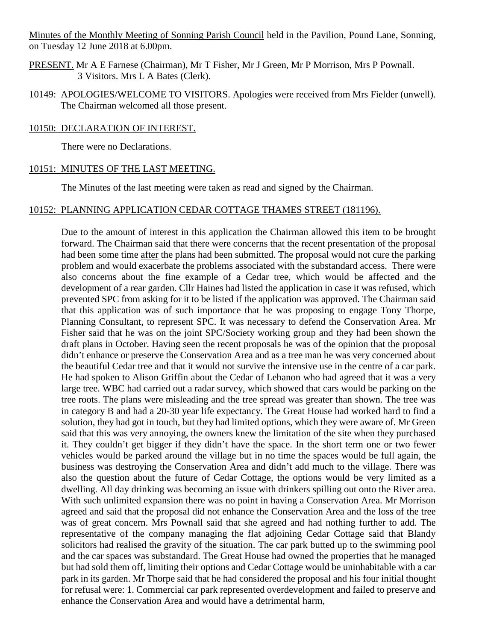Minutes of the Monthly Meeting of Sonning Parish Council held in the Pavilion, Pound Lane, Sonning, on Tuesday 12 June 2018 at 6.00pm.

- PRESENT. Mr A E Farnese (Chairman), Mr T Fisher, Mr J Green, Mr P Morrison, Mrs P Pownall. 3 Visitors. Mrs L A Bates (Clerk).
- 10149: APOLOGIES/WELCOME TO VISITORS. Apologies were received from Mrs Fielder (unwell). The Chairman welcomed all those present.

#### 10150: DECLARATION OF INTEREST.

There were no Declarations.

#### 10151: MINUTES OF THE LAST MEETING.

The Minutes of the last meeting were taken as read and signed by the Chairman.

## 10152: PLANNING APPLICATION CEDAR COTTAGE THAMES STREET (181196).

Due to the amount of interest in this application the Chairman allowed this item to be brought forward. The Chairman said that there were concerns that the recent presentation of the proposal had been some time after the plans had been submitted. The proposal would not cure the parking problem and would exacerbate the problems associated with the substandard access. There were also concerns about the fine example of a Cedar tree, which would be affected and the development of a rear garden. Cllr Haines had listed the application in case it was refused, which prevented SPC from asking for it to be listed if the application was approved. The Chairman said that this application was of such importance that he was proposing to engage Tony Thorpe, Planning Consultant, to represent SPC. It was necessary to defend the Conservation Area. Mr Fisher said that he was on the joint SPC/Society working group and they had been shown the draft plans in October. Having seen the recent proposals he was of the opinion that the proposal didn't enhance or preserve the Conservation Area and as a tree man he was very concerned about the beautiful Cedar tree and that it would not survive the intensive use in the centre of a car park. He had spoken to Alison Griffin about the Cedar of Lebanon who had agreed that it was a very large tree. WBC had carried out a radar survey, which showed that cars would be parking on the tree roots. The plans were misleading and the tree spread was greater than shown. The tree was in category B and had a 20-30 year life expectancy. The Great House had worked hard to find a solution, they had got in touch, but they had limited options, which they were aware of. Mr Green said that this was very annoying, the owners knew the limitation of the site when they purchased it. They couldn't get bigger if they didn't have the space. In the short term one or two fewer vehicles would be parked around the village but in no time the spaces would be full again, the business was destroying the Conservation Area and didn't add much to the village. There was also the question about the future of Cedar Cottage, the options would be very limited as a dwelling. All day drinking was becoming an issue with drinkers spilling out onto the River area. With such unlimited expansion there was no point in having a Conservation Area. Mr Morrison agreed and said that the proposal did not enhance the Conservation Area and the loss of the tree was of great concern. Mrs Pownall said that she agreed and had nothing further to add. The representative of the company managing the flat adjoining Cedar Cottage said that Blandy solicitors had realised the gravity of the situation. The car park butted up to the swimming pool and the car spaces was substandard. The Great House had owned the properties that he managed but had sold them off, limiting their options and Cedar Cottage would be uninhabitable with a car park in its garden. Mr Thorpe said that he had considered the proposal and his four initial thought for refusal were: 1. Commercial car park represented overdevelopment and failed to preserve and enhance the Conservation Area and would have a detrimental harm,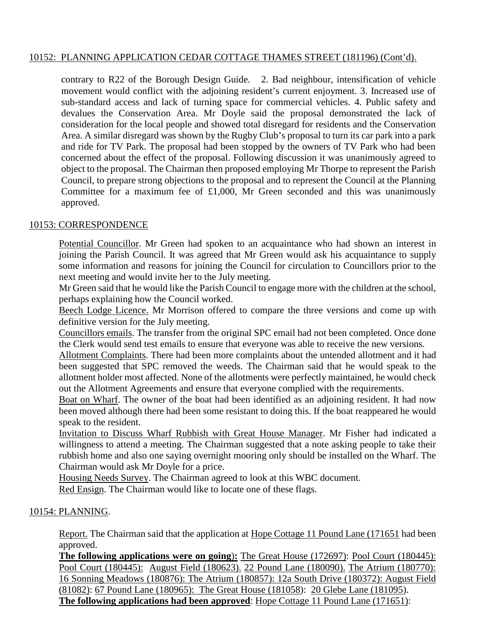# 10152: PLANNING APPLICATION CEDAR COTTAGE THAMES STREET (181196) (Cont'd).

contrary to R22 of the Borough Design Guide. 2. Bad neighbour, intensification of vehicle movement would conflict with the adjoining resident's current enjoyment. 3. Increased use of sub-standard access and lack of turning space for commercial vehicles. 4. Public safety and devalues the Conservation Area. Mr Doyle said the proposal demonstrated the lack of consideration for the local people and showed total disregard for residents and the Conservation Area. A similar disregard was shown by the Rugby Club's proposal to turn its car park into a park and ride for TV Park. The proposal had been stopped by the owners of TV Park who had been concerned about the effect of the proposal. Following discussion it was unanimously agreed to object to the proposal. The Chairman then proposed employing Mr Thorpe to represent the Parish Council, to prepare strong objections to the proposal and to represent the Council at the Planning Committee for a maximum fee of  $£1,000$ , Mr Green seconded and this was unanimously approved.

## 10153: CORRESPONDENCE

Potential Councillor. Mr Green had spoken to an acquaintance who had shown an interest in joining the Parish Council. It was agreed that Mr Green would ask his acquaintance to supply some information and reasons for joining the Council for circulation to Councillors prior to the next meeting and would invite her to the July meeting.

Mr Green said that he would like the Parish Council to engage more with the children at the school, perhaps explaining how the Council worked.

Beech Lodge Licence. Mr Morrison offered to compare the three versions and come up with definitive version for the July meeting.

Councillors emails. The transfer from the original SPC email had not been completed. Once done the Clerk would send test emails to ensure that everyone was able to receive the new versions.

Allotment Complaints. There had been more complaints about the untended allotment and it had been suggested that SPC removed the weeds. The Chairman said that he would speak to the allotment holder most affected. None of the allotments were perfectly maintained, he would check out the Allotment Agreements and ensure that everyone complied with the requirements.

Boat on Wharf. The owner of the boat had been identified as an adjoining resident. It had now been moved although there had been some resistant to doing this. If the boat reappeared he would speak to the resident.

Invitation to Discuss Wharf Rubbish with Great House Manager. Mr Fisher had indicated a willingness to attend a meeting. The Chairman suggested that a note asking people to take their rubbish home and also one saying overnight mooring only should be installed on the Wharf. The Chairman would ask Mr Doyle for a price.

Housing Needs Survey. The Chairman agreed to look at this WBC document.

Red Ensign. The Chairman would like to locate one of these flags.

## 10154: PLANNING.

Report. The Chairman said that the application at Hope Cottage 11 Pound Lane (171651 had been approved.

**The following applications were on going**)**:** The Great House (172697): Pool Court (180445): Pool Court (180445): August Field (180623). 22 Pound Lane (180090). The Atrium (180770): 16 Sonning Meadows (180876): The Atrium (180857): 12a South Drive (180372): August Field (81082): 67 Pound Lane (180965): The Great House (181058): 20 Glebe Lane (181095). **The following applications had been approved:** Hope Cottage 11 Pound Lane (171651):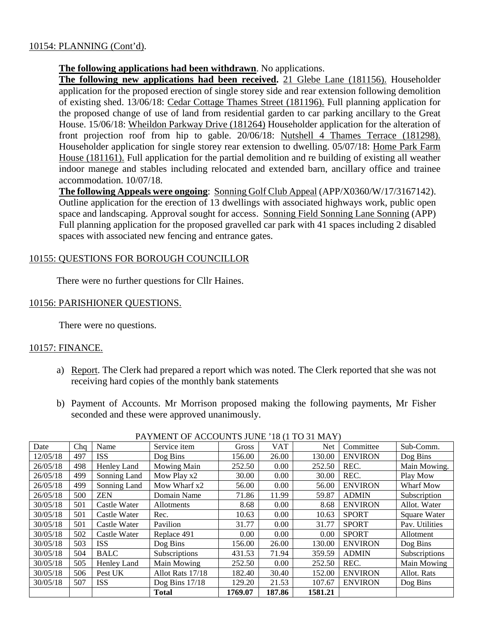# 10154: PLANNING (Cont'd).

# **The following applications had been withdrawn**. No applications.

**The following new applications had been received.** 21 Glebe Lane (181156). Householder application for the proposed erection of single storey side and rear extension following demolition of existing shed. 13/06/18: Cedar Cottage Thames Street (181196). Full planning application for the proposed change of use of land from residential garden to car parking ancillary to the Great House. 15/06/18: Wheildon Parkway Drive (181264) Householder application for the alteration of front projection roof from hip to gable. 20/06/18: Nutshell 4 Thames Terrace (181298). Householder application for single storey rear extension to dwelling. 05/07/18: Home Park Farm House (181161). Full application for the partial demolition and re building of existing all weather indoor manege and stables including relocated and extended barn, ancillary office and trainee accommodation. 10/07/18.

**The following Appeals were ongoing**: Sonning Golf Club Appeal (APP/X0360/W/17/3167142). Outline application for the erection of 13 dwellings with associated highways work, public open space and landscaping. Approval sought for access. Sonning Field Sonning Lane Sonning (APP) Full planning application for the proposed gravelled car park with 41 spaces including 2 disabled spaces with associated new fencing and entrance gates.

# 10155: QUESTIONS FOR BOROUGH COUNCILLOR

There were no further questions for Cllr Haines.

## 10156: PARISHIONER QUESTIONS.

There were no questions.

## 10157: FINANCE.

- a) Report. The Clerk had prepared a report which was noted. The Clerk reported that she was not receiving hard copies of the monthly bank statements
- b) Payment of Accounts. Mr Morrison proposed making the following payments, Mr Fisher seconded and these were approved unanimously.

| Date     | Cha | Name         | Service item     | Gross   | <b>VAT</b> | <b>Net</b> | Committee      | Sub-Comm.      |
|----------|-----|--------------|------------------|---------|------------|------------|----------------|----------------|
| 12/05/18 | 497 | <b>ISS</b>   | Dog Bins         | 156.00  | 26.00      | 130.00     | <b>ENVIRON</b> | Dog Bins       |
| 26/05/18 | 498 | Henley Land  | Mowing Main      | 252.50  | 0.00       | 252.50     | REC.           | Main Mowing.   |
| 26/05/18 | 499 | Sonning Land | Mow Play x2      | 30.00   | 0.00       | 30.00      | REC.           | Play Mow       |
| 26/05/18 | 499 | Sonning Land | Mow Wharf x2     | 56.00   | 0.00       | 56.00      | <b>ENVIRON</b> | Wharf Mow      |
| 26/05/18 | 500 | <b>ZEN</b>   | Domain Name      | 71.86   | 11.99      | 59.87      | <b>ADMIN</b>   | Subscription   |
| 30/05/18 | 501 | Castle Water | Allotments       | 8.68    | 0.00       | 8.68       | <b>ENVIRON</b> | Allot. Water   |
| 30/05/18 | 501 | Castle Water | Rec.             | 10.63   | 0.00       | 10.63      | <b>SPORT</b>   | Square Water   |
| 30/05/18 | 501 | Castle Water | Pavilion         | 31.77   | 0.00       | 31.77      | <b>SPORT</b>   | Pav. Utilities |
| 30/05/18 | 502 | Castle Water | Replace 491      | 0.00    | 0.00       | 0.00       | <b>SPORT</b>   | Allotment      |
| 30/05/18 | 503 | <b>ISS</b>   | Dog Bins         | 156.00  | 26.00      | 130.00     | <b>ENVIRON</b> | Dog Bins       |
| 30/05/18 | 504 | <b>BALC</b>  | Subscriptions    | 431.53  | 71.94      | 359.59     | <b>ADMIN</b>   | Subscriptions  |
| 30/05/18 | 505 | Henley Land  | Main Mowing      | 252.50  | 0.00       | 252.50     | REC.           | Main Mowing    |
| 30/05/18 | 506 | Pest UK      | Allot Rats 17/18 | 182.40  | 30.40      | 152.00     | <b>ENVIRON</b> | Allot. Rats    |
| 30/05/18 | 507 | <b>ISS</b>   | Dog Bins $17/18$ | 129.20  | 21.53      | 107.67     | <b>ENVIRON</b> | Dog Bins       |
|          |     |              | <b>Total</b>     | 1769.07 | 187.86     | 1581.21    |                |                |

PAYMENT OF ACCOUNTS JUNE '18 (1 TO 31 MAY)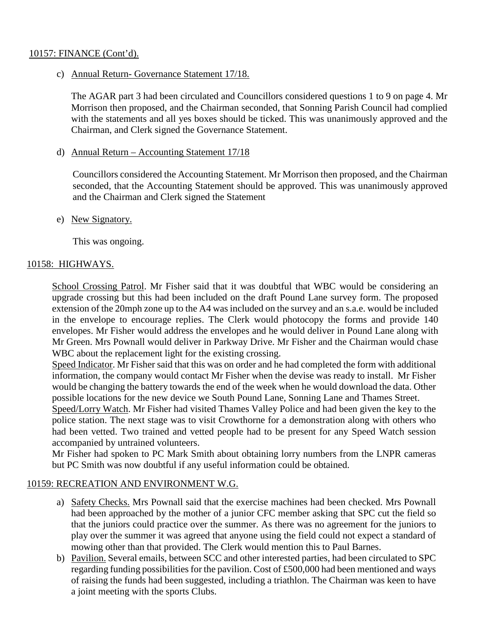## 10157: FINANCE (Cont'd).

c) Annual Return- Governance Statement 17/18.

The AGAR part 3 had been circulated and Councillors considered questions 1 to 9 on page 4. Mr Morrison then proposed, and the Chairman seconded, that Sonning Parish Council had complied with the statements and all yes boxes should be ticked. This was unanimously approved and the Chairman, and Clerk signed the Governance Statement.

d) Annual Return – Accounting Statement 17/18

Councillors considered the Accounting Statement. Mr Morrison then proposed, and the Chairman seconded, that the Accounting Statement should be approved. This was unanimously approved and the Chairman and Clerk signed the Statement

## e) New Signatory.

This was ongoing.

# 10158: HIGHWAYS.

School Crossing Patrol. Mr Fisher said that it was doubtful that WBC would be considering an upgrade crossing but this had been included on the draft Pound Lane survey form. The proposed extension of the 20mph zone up to the A4 was included on the survey and an s.a.e. would be included in the envelope to encourage replies. The Clerk would photocopy the forms and provide 140 envelopes. Mr Fisher would address the envelopes and he would deliver in Pound Lane along with Mr Green. Mrs Pownall would deliver in Parkway Drive. Mr Fisher and the Chairman would chase WBC about the replacement light for the existing crossing.

Speed Indicator. Mr Fisher said that this was on order and he had completed the form with additional information, the company would contact Mr Fisher when the devise was ready to install. Mr Fisher would be changing the battery towards the end of the week when he would download the data. Other possible locations for the new device we South Pound Lane, Sonning Lane and Thames Street.

Speed/Lorry Watch. Mr Fisher had visited Thames Valley Police and had been given the key to the police station. The next stage was to visit Crowthorne for a demonstration along with others who had been vetted. Two trained and vetted people had to be present for any Speed Watch session accompanied by untrained volunteers.

Mr Fisher had spoken to PC Mark Smith about obtaining lorry numbers from the LNPR cameras but PC Smith was now doubtful if any useful information could be obtained.

## 10159: RECREATION AND ENVIRONMENT W.G.

- a) Safety Checks. Mrs Pownall said that the exercise machines had been checked. Mrs Pownall had been approached by the mother of a junior CFC member asking that SPC cut the field so that the juniors could practice over the summer. As there was no agreement for the juniors to play over the summer it was agreed that anyone using the field could not expect a standard of mowing other than that provided. The Clerk would mention this to Paul Barnes.
- b) Pavilion. Several emails, between SCC and other interested parties, had been circulated to SPC regarding funding possibilities for the pavilion. Cost of £500,000 had been mentioned and ways of raising the funds had been suggested, including a triathlon. The Chairman was keen to have a joint meeting with the sports Clubs.